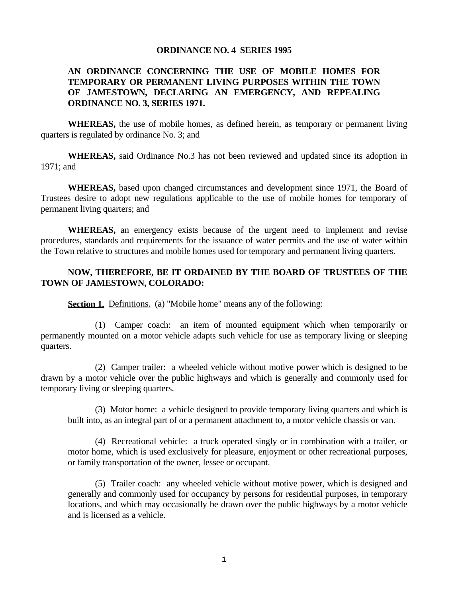## **ORDINANCE NO. 4 SERIES 1995**

## **AN ORDINANCE CONCERNING THE USE OF MOBILE HOMES FOR TEMPORARY OR PERMANENT LIVING PURPOSES WITHIN THE TOWN OF JAMESTOWN, DECLARING AN EMERGENCY, AND REPEALING ORDINANCE NO. 3, SERIES 1971.**

 **WHEREAS,** the use of mobile homes, as defined herein, as temporary or permanent living quarters is regulated by ordinance No. 3; and

 **WHEREAS,** said Ordinance No.3 has not been reviewed and updated since its adoption in 1971; and

 **WHEREAS,** based upon changed circumstances and development since 1971, the Board of Trustees desire to adopt new regulations applicable to the use of mobile homes for temporary of permanent living quarters; and

 **WHEREAS,** an emergency exists because of the urgent need to implement and revise procedures, standards and requirements for the issuance of water permits and the use of water within the Town relative to structures and mobile homes used for temporary and permanent living quarters.

## **NOW, THEREFORE, BE IT ORDAINED BY THE BOARD OF TRUSTEES OF THE TOWN OF JAMESTOWN, COLORADO:**

**Section 1.** Definitions. (a) "Mobile home" means any of the following:

 (1) Camper coach: an item of mounted equipment which when temporarily or permanently mounted on a motor vehicle adapts such vehicle for use as temporary living or sleeping quarters.

 (2) Camper trailer: a wheeled vehicle without motive power which is designed to be drawn by a motor vehicle over the public highways and which is generally and commonly used for temporary living or sleeping quarters.

 (3) Motor home: a vehicle designed to provide temporary living quarters and which is built into, as an integral part of or a permanent attachment to, a motor vehicle chassis or van.

 (4) Recreational vehicle: a truck operated singly or in combination with a trailer, or motor home, which is used exclusively for pleasure, enjoyment or other recreational purposes, or family transportation of the owner, lessee or occupant.

 (5) Trailer coach: any wheeled vehicle without motive power, which is designed and generally and commonly used for occupancy by persons for residential purposes, in temporary locations, and which may occasionally be drawn over the public highways by a motor vehicle and is licensed as a vehicle.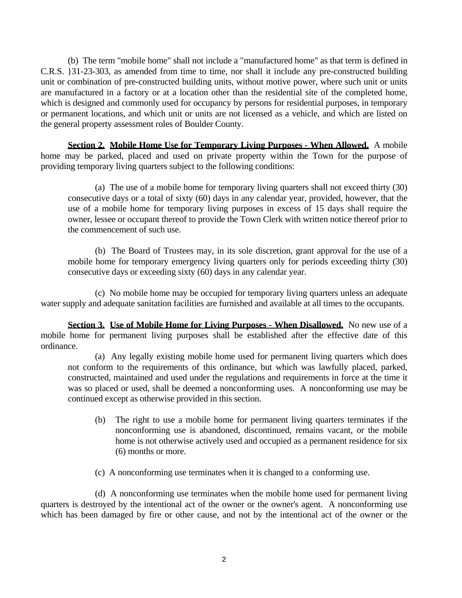(b) The term "mobile home" shall not include a "manufactured home" as that term is defined in C.R.S. }31-23-303, as amended from time to time, nor shall it include any pre-constructed building unit or combination of pre-constructed building units, without motive power, where such unit or units are manufactured in a factory or at a location other than the residential site of the completed home, which is designed and commonly used for occupancy by persons for residential purposes, in temporary or permanent locations, and which unit or units are not licensed as a vehicle, and which are listed on the general property assessment roles of Boulder County.

**Section 2. Mobile Home Use for Temporary Living Purposes - When Allowed.** A mobile home may be parked, placed and used on private property within the Town for the purpose of providing temporary living quarters subject to the following conditions:

 (a) The use of a mobile home for temporary living quarters shall not exceed thirty (30) consecutive days or a total of sixty (60) days in any calendar year, provided, however, that the use of a mobile home for temporary living purposes in excess of 15 days shall require the owner, lessee or occupant thereof to provide the Town Clerk with written notice thereof prior to the commencement of such use.

 (b) The Board of Trustees may, in its sole discretion, grant approval for the use of a mobile home for temporary emergency living quarters only for periods exceeding thirty (30) consecutive days or exceeding sixty (60) days in any calendar year.

 (c) No mobile home may be occupied for temporary living quarters unless an adequate water supply and adequate sanitation facilities are furnished and available at all times to the occupants.

**Section 3. Use of Mobile Home for Living Purposes - When Disallowed.** No new use of a mobile home for permanent living purposes shall be established after the effective date of this ordinance.

 (a) Any legally existing mobile home used for permanent living quarters which does not conform to the requirements of this ordinance, but which was lawfully placed, parked, constructed, maintained and used under the regulations and requirements in force at the time it was so placed or used, shall be deemed a nonconforming uses. A nonconforming use may be continued except as otherwise provided in this section.

- (b) The right to use a mobile home for permanent living quarters terminates if the nonconforming use is abandoned, discontinued, remains vacant, or the mobile home is not otherwise actively used and occupied as a permanent residence for six (6) months or more.
- (c) A nonconforming use terminates when it is changed to a conforming use.

 (d) A nonconforming use terminates when the mobile home used for permanent living quarters is destroyed by the intentional act of the owner or the owner's agent. A nonconforming use which has been damaged by fire or other cause, and not by the intentional act of the owner or the